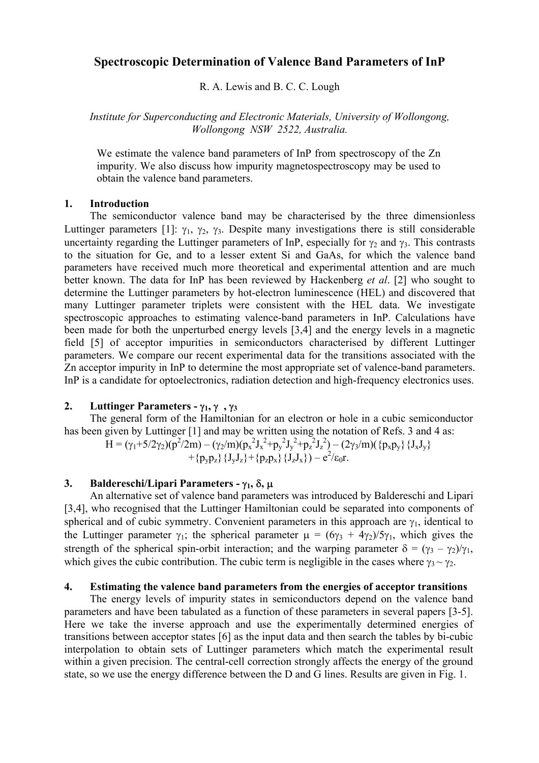# **Spectroscopic Determination of Valence Band Parameters of InP**

R. A. Lewis and B. C. C. Lough

*Institute for Superconducting and Electronic Materials, University of Wollongong, Wollongong NSW 2522, Australia.* 

We estimate the valence band parameters of InP from spectroscopy of the Zn impurity. We also discuss how impurity magnetospectroscopy may be used to obtain the valence band parameters.

#### **1. Introduction**

 The semiconductor valence band may be characterised by the three dimensionless Luttinger parameters [1]:  $\gamma_1$ ,  $\gamma_2$ ,  $\gamma_3$ . Despite many investigations there is still considerable uncertainty regarding the Luttinger parameters of InP, especially for  $\gamma_2$  and  $\gamma_3$ . This contrasts to the situation for Ge, and to a lesser extent Si and GaAs, for which the valence band parameters have received much more theoretical and experimental attention and are much better known. The data for InP has been reviewed by Hackenberg *et al*. [2] who sought to determine the Luttinger parameters by hot-electron luminescence (HEL) and discovered that many Luttinger parameter triplets were consistent with the HEL data. We investigate spectroscopic approaches to estimating valence-band parameters in InP. Calculations have been made for both the unperturbed energy levels [3,4] and the energy levels in a magnetic field [5] of acceptor impurities in semiconductors characterised by different Luttinger parameters. We compare our recent experimental data for the transitions associated with the Zn acceptor impurity in InP to determine the most appropriate set of valence-band parameters. InP is a candidate for optoelectronics, radiation detection and high-frequency electronics uses.

## **2. Luttinger Parameters -** γ**1,** γ**,** γ**<sup>3</sup>**

 The general form of the Hamiltonian for an electron or hole in a cubic semiconductor has been given by Luttinger [1] and may be written using the notation of Refs. 3 and 4 as:

H = (γ<sub>1</sub>+5/2γ<sub>2</sub>)(p<sup>2</sup>/2m) – (γ<sub>2</sub>/m)(p<sub>x</sub><sup>2</sup>J<sub>x</sub><sup>2</sup>+p<sub>y</sub><sup>2</sup>J<sub>y</sub><sup>2</sup>+p<sub>z</sub><sup>2</sup>J<sub>z</sub><sup>2</sup>) – (2γ<sub>3</sub>/m)({p<sub>x</sub>p<sub>y</sub>} {J<sub>x</sub>J<sub>y</sub>} +{p<sub>y</sub>p<sub>z</sub>} {J<sub>y</sub>J<sub>z</sub>}+{p<sub>z</sub>p<sub>x</sub>} {J<sub>z</sub>J<sub>x</sub>}) – e<sup>2</sup>/ε<sub>0</sub>r.

## **3. Baldereschi/Lipari Parameters -** γ**1,** δ**,** µ

 An alternative set of valence band parameters was introduced by Baldereschi and Lipari [3,4], who recognised that the Luttinger Hamiltonian could be separated into components of spherical and of cubic symmetry. Convenient parameters in this approach are  $\gamma_1$ , identical to the Luttinger parameter  $\gamma_1$ ; the spherical parameter  $\mu = (6\gamma_3 + 4\gamma_2)/5\gamma_1$ , which gives the strength of the spherical spin-orbit interaction; and the warping parameter  $\delta = (\gamma_3 - \gamma_2)/\gamma_1$ , which gives the cubic contribution. The cubic term is negligible in the cases where  $\gamma_3 \sim \gamma_2$ .

#### **4. Estimating the valence band parameters from the energies of acceptor transitions**

 The energy levels of impurity states in semiconductors depend on the valence band parameters and have been tabulated as a function of these parameters in several papers [3-5]. Here we take the inverse approach and use the experimentally determined energies of transitions between acceptor states [6] as the input data and then search the tables by bi-cubic interpolation to obtain sets of Luttinger parameters which match the experimental result within a given precision. The central-cell correction strongly affects the energy of the ground state, so we use the energy difference between the D and G lines. Results are given in Fig. 1.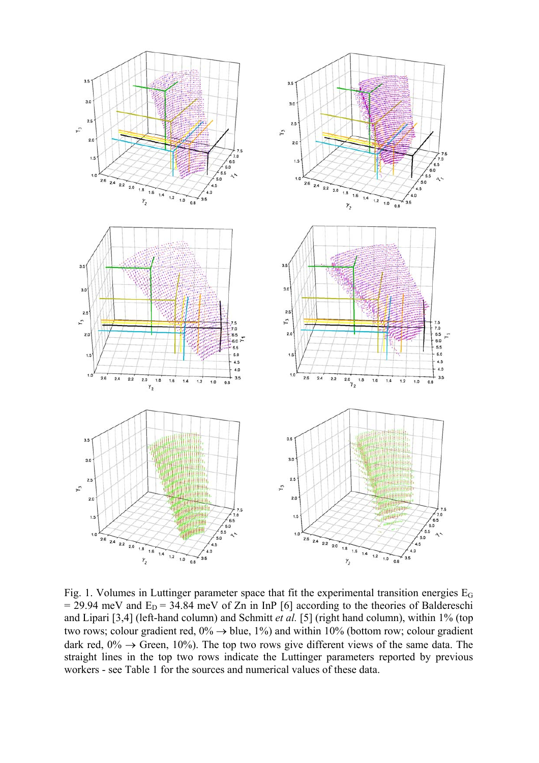

Fig. 1. Volumes in Luttinger parameter space that fit the experimental transition energies E<sub>G</sub>  $= 29.94$  meV and  $E_D = 34.84$  meV of Zn in InP [6] according to the theories of Baldereschi and Lipari [3,4] (left-hand column) and Schmitt *et al.* [5] (right hand column), within 1% (top two rows; colour gradient red,  $0\% \rightarrow$  blue,  $1\%$ ) and within 10% (bottom row; colour gradient dark red,  $0\% \rightarrow$  Green, 10%). The top two rows give different views of the same data. The straight lines in the top two rows indicate the Luttinger parameters reported by previous workers - see Table 1 for the sources and numerical values of these data.